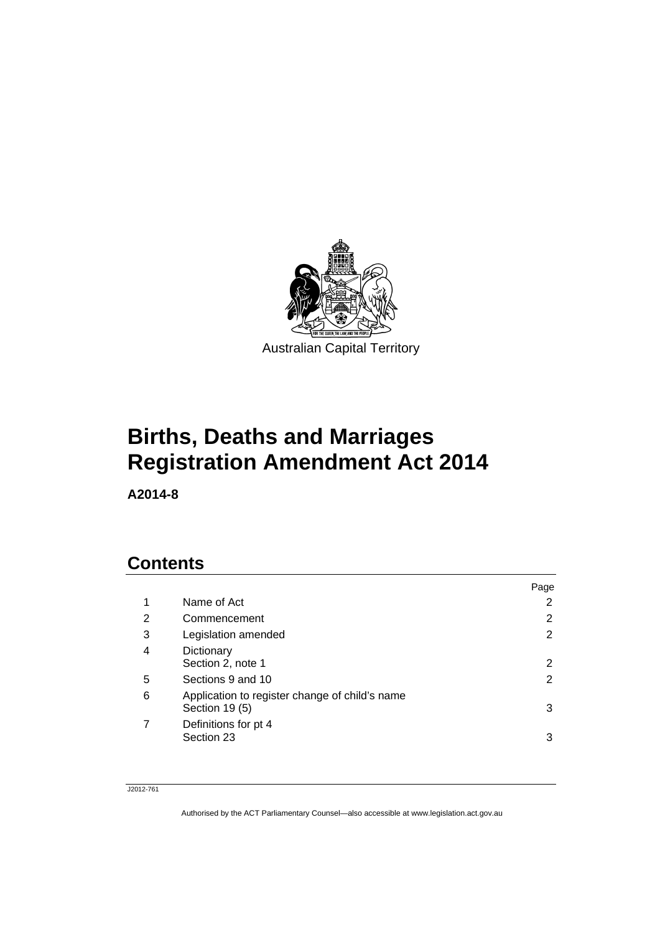

# **Births, Deaths and Marriages Registration Amendment Act 2014**

**A2014-8** 

## **Contents**

|                                                                  | Page |
|------------------------------------------------------------------|------|
| Name of Act                                                      | 2    |
| Commencement                                                     | 2    |
| Legislation amended                                              | 2    |
| Dictionary<br>Section 2, note 1                                  | 2    |
| Sections 9 and 10                                                | 2    |
| Application to register change of child's name<br>Section 19 (5) | 3    |
| Definitions for pt 4<br>Section 23                               | 3    |
|                                                                  |      |

#### J2012-761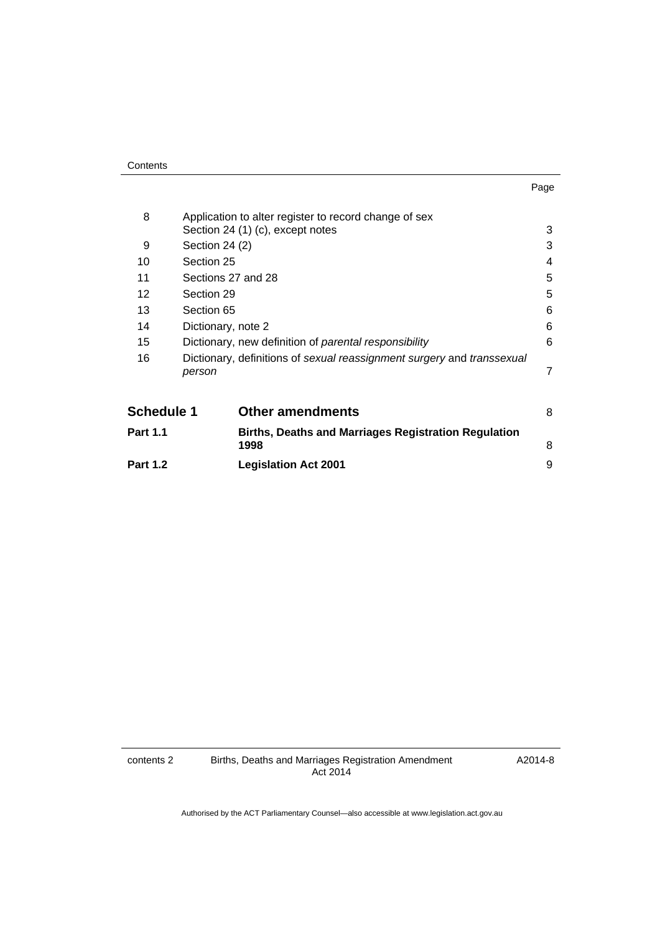| Contents |
|----------|
|----------|

| ×<br>× | ۰. |
|--------|----|

| 8                 |                    | Application to alter register to record change of sex                  |   |
|-------------------|--------------------|------------------------------------------------------------------------|---|
|                   |                    | Section 24 (1) (c), except notes                                       | 3 |
| 9                 | Section 24 (2)     |                                                                        | 3 |
| 10                | Section 25         |                                                                        | 4 |
| 11                |                    | Sections 27 and 28                                                     | 5 |
| 12                | Section 29         |                                                                        | 5 |
| 13                | Section 65         |                                                                        | 6 |
| 14                | Dictionary, note 2 |                                                                        | 6 |
| 15                |                    | Dictionary, new definition of parental responsibility                  | 6 |
| 16                | person             | Dictionary, definitions of sexual reassignment surgery and transsexual | 7 |
| <b>Schedule 1</b> |                    | <b>Other amendments</b>                                                | 8 |
| <b>Part 1.1</b>   |                    | <b>Births, Deaths and Marriages Registration Regulation</b><br>1998    | 8 |
| <b>Part 1.2</b>   |                    | <b>Legislation Act 2001</b>                                            | 9 |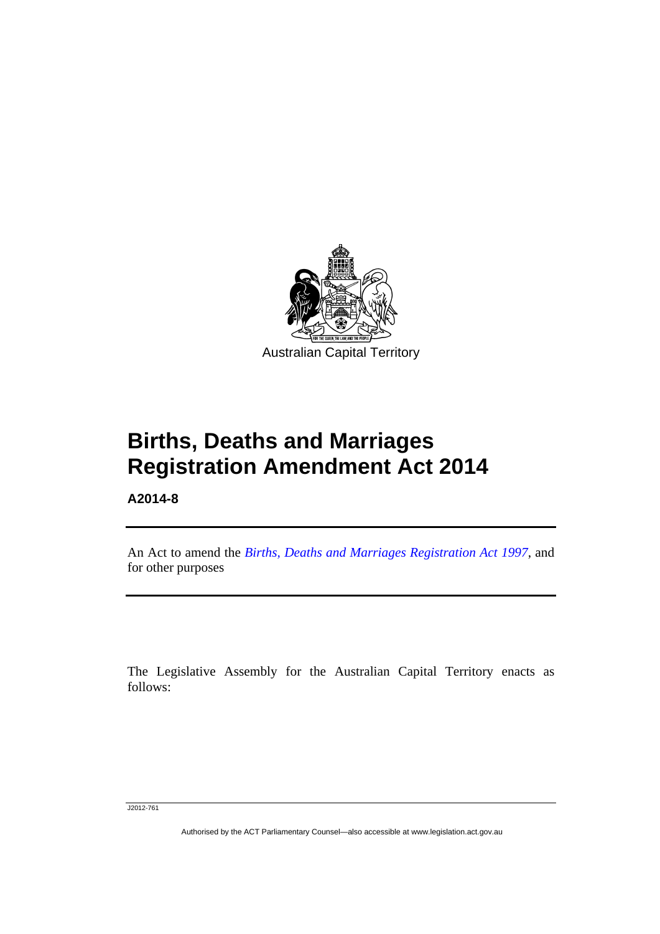

**Births, Deaths and Marriages Registration Amendment Act 2014** 

**A2014-8** 

l

An Act to amend the *[Births, Deaths and Marriages Registration Act 1997](http://www.legislation.act.gov.au/a/1997-112)*, and for other purposes

The Legislative Assembly for the Australian Capital Territory enacts as follows:

J2012-761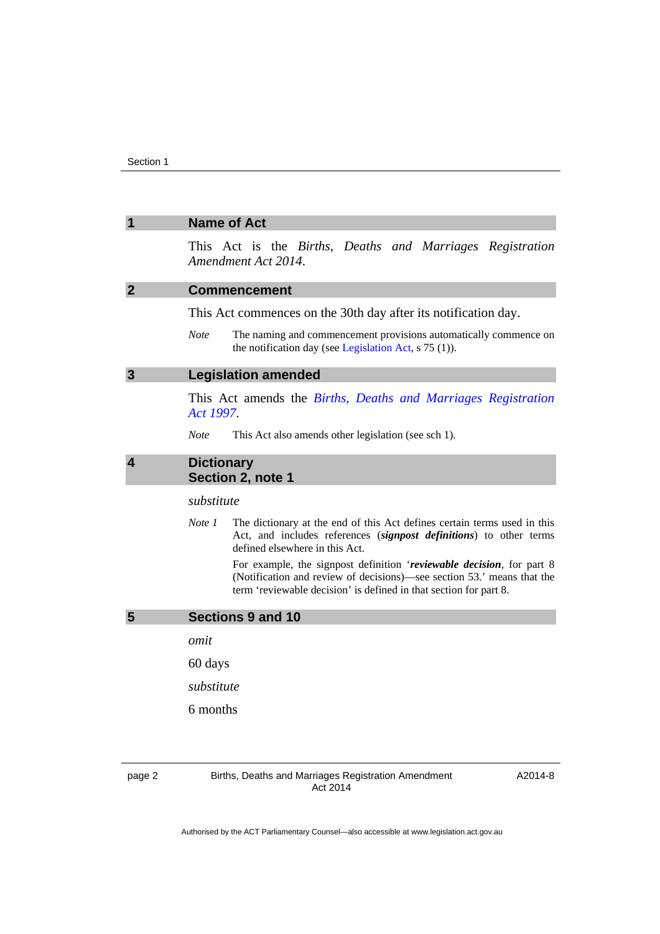#### <span id="page-3-0"></span>**1 Name of Act**

This Act is the *Births, Deaths and Marriages Registration Amendment Act 2014*.

#### <span id="page-3-1"></span>**2 Commencement**

This Act commences on the 30th day after its notification day.

*Note* The naming and commencement provisions automatically commence on the notification day (see [Legislation Act,](http://www.legislation.act.gov.au/a/2001-14) s 75 (1)).

#### <span id="page-3-2"></span>**3 Legislation amended**

This Act amends the *[Births, Deaths and Marriages Registration](http://www.legislation.act.gov.au/a/1997-112)  [Act 1997](http://www.legislation.act.gov.au/a/1997-112)*.

*Note* This Act also amends other legislation (see sch 1).

#### <span id="page-3-3"></span>**4 Dictionary Section 2, note 1**

*substitute* 

*Note 1* The dictionary at the end of this Act defines certain terms used in this Act, and includes references (*signpost definitions*) to other terms defined elsewhere in this Act.

> For example, the signpost definition '*reviewable decision*, for part 8 (Notification and review of decisions)—see section 53.' means that the term 'reviewable decision' is defined in that section for part 8.

#### <span id="page-3-4"></span>**5 Sections 9 and 10**

*omit* 

60 days

*substitute* 

6 months

page 2 Births, Deaths and Marriages Registration Amendment Act 2014

A2014-8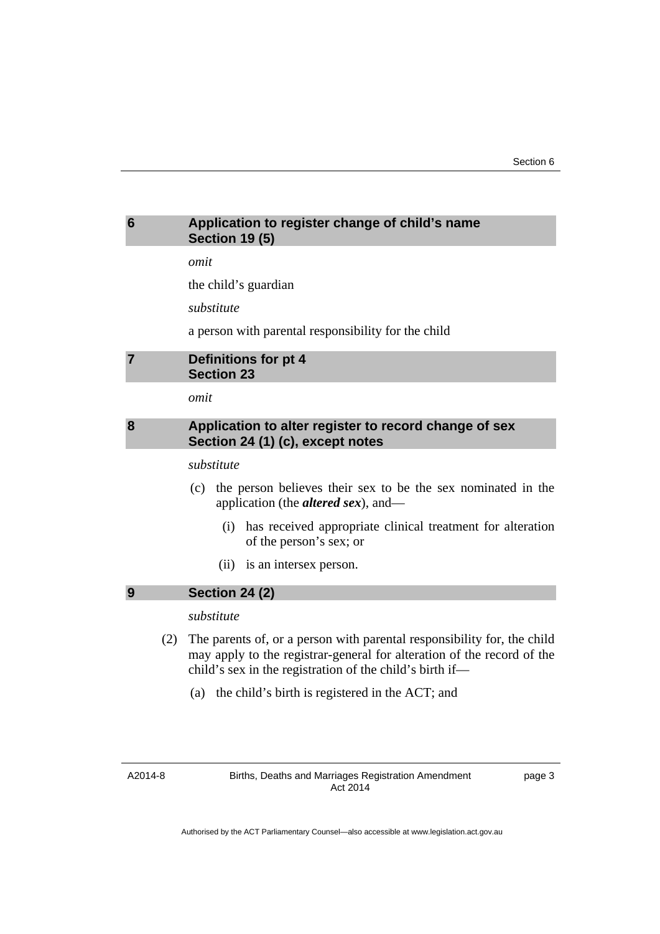#### <span id="page-4-0"></span>**6 Application to register change of child's name Section 19 (5)**

*omit* 

the child's guardian

*substitute* 

a person with parental responsibility for the child

#### <span id="page-4-1"></span>**7 Definitions for pt 4 Section 23**

*omit* 

#### <span id="page-4-2"></span>**8 Application to alter register to record change of sex Section 24 (1) (c), except notes**

*substitute* 

- (c) the person believes their sex to be the sex nominated in the application (the *altered sex*), and—
	- (i) has received appropriate clinical treatment for alteration of the person's sex; or
	- (ii) is an intersex person.

### <span id="page-4-3"></span>**9 Section 24 (2)**

#### *substitute*

- (2) The parents of, or a person with parental responsibility for, the child may apply to the registrar-general for alteration of the record of the child's sex in the registration of the child's birth if—
	- (a) the child's birth is registered in the ACT; and

page 3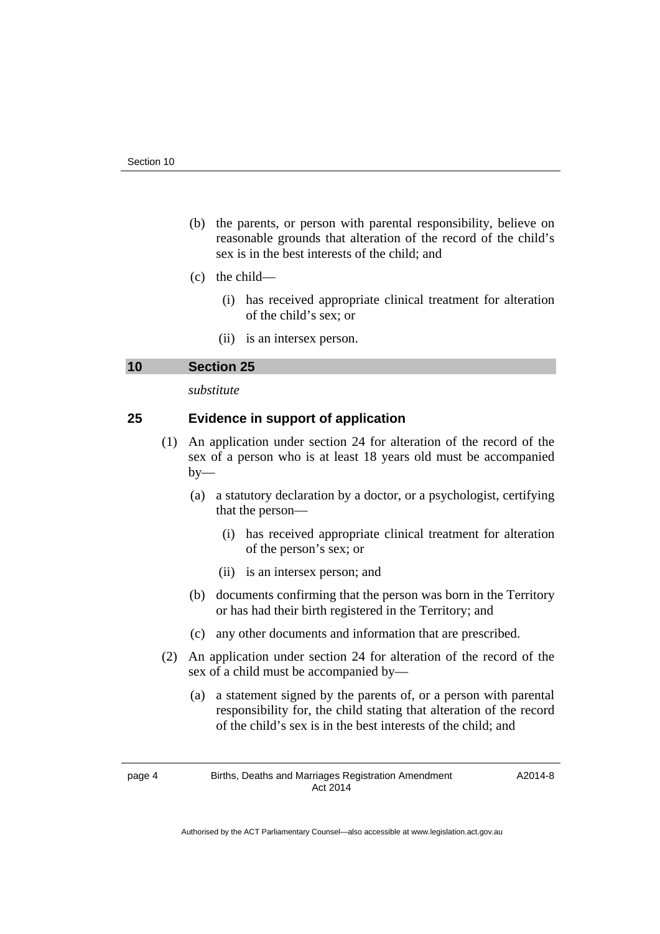- (b) the parents, or person with parental responsibility, believe on reasonable grounds that alteration of the record of the child's sex is in the best interests of the child; and
- (c) the child—
	- (i) has received appropriate clinical treatment for alteration of the child's sex; or
	- (ii) is an intersex person.

#### <span id="page-5-0"></span>**10 Section 25**

*substitute* 

#### **25 Evidence in support of application**

- (1) An application under section 24 for alteration of the record of the sex of a person who is at least 18 years old must be accompanied  $by-$ 
	- (a) a statutory declaration by a doctor, or a psychologist, certifying that the person—
		- (i) has received appropriate clinical treatment for alteration of the person's sex; or
		- (ii) is an intersex person; and
	- (b) documents confirming that the person was born in the Territory or has had their birth registered in the Territory; and
	- (c) any other documents and information that are prescribed.
- (2) An application under section 24 for alteration of the record of the sex of a child must be accompanied by—
	- (a) a statement signed by the parents of, or a person with parental responsibility for, the child stating that alteration of the record of the child's sex is in the best interests of the child; and

A2014-8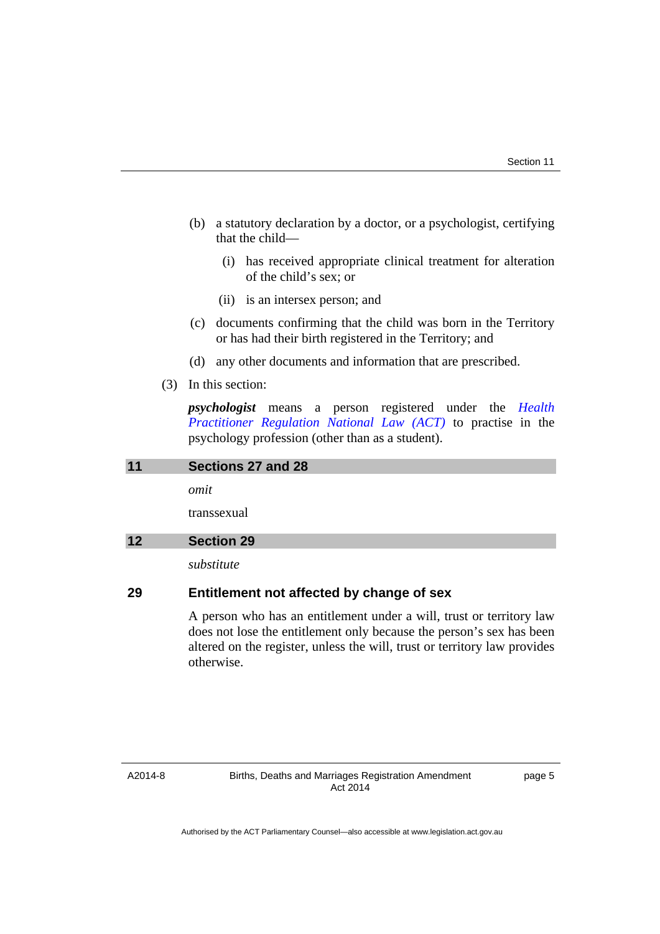- (b) a statutory declaration by a doctor, or a psychologist, certifying that the child—
	- (i) has received appropriate clinical treatment for alteration of the child's sex; or
	- (ii) is an intersex person; and
- (c) documents confirming that the child was born in the Territory or has had their birth registered in the Territory; and
- (d) any other documents and information that are prescribed.
- (3) In this section:

otherwise.

*psychologist* means a person registered under the *[Health](http://www.legislation.act.gov.au/a/db_39269/default.asp)  [Practitioner Regulation National Law \(ACT\)](http://www.legislation.act.gov.au/a/db_39269/default.asp)* to practise in the psychology profession (other than as a student).

<span id="page-6-1"></span><span id="page-6-0"></span>

| 11 | Sections 27 and 28                                                                                                                                                                                                        |
|----|---------------------------------------------------------------------------------------------------------------------------------------------------------------------------------------------------------------------------|
|    | omit                                                                                                                                                                                                                      |
|    | transsexual                                                                                                                                                                                                               |
| 12 | <b>Section 29</b>                                                                                                                                                                                                         |
|    | substitute                                                                                                                                                                                                                |
| 29 | Entitlement not affected by change of sex                                                                                                                                                                                 |
|    | A person who has an entitlement under a will, trust or territory law<br>does not lose the entitlement only because the person's sex has been<br>altered on the register, unless the will, trust or territory law provides |

#### A2014-8

page 5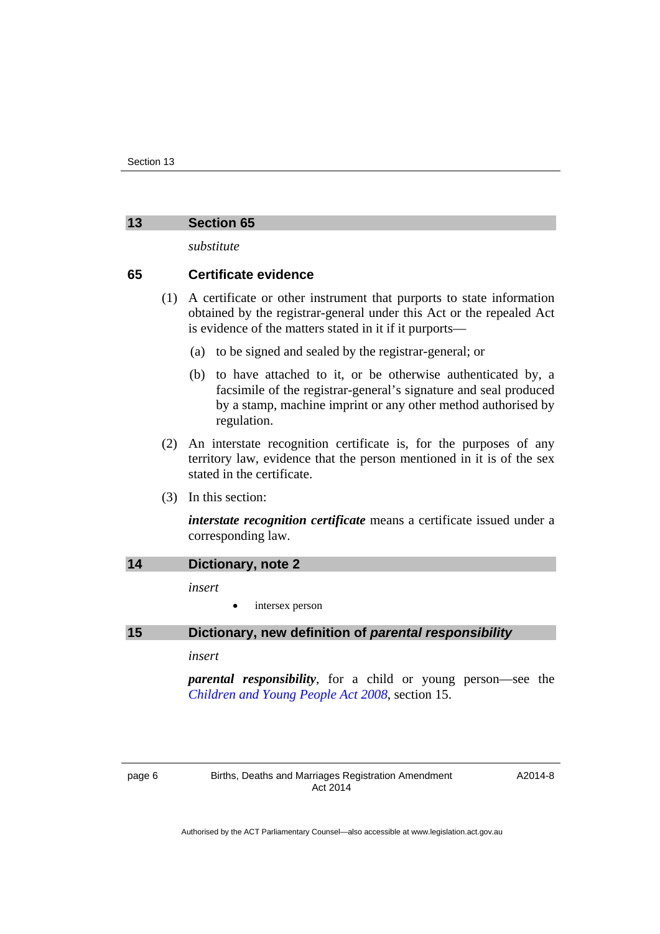#### <span id="page-7-0"></span>**13 Section 65**

*substitute* 

#### **65 Certificate evidence**

- (1) A certificate or other instrument that purports to state information obtained by the registrar-general under this Act or the repealed Act is evidence of the matters stated in it if it purports—
	- (a) to be signed and sealed by the registrar-general; or
	- (b) to have attached to it, or be otherwise authenticated by, a facsimile of the registrar-general's signature and seal produced by a stamp, machine imprint or any other method authorised by regulation.
- (2) An interstate recognition certificate is, for the purposes of any territory law, evidence that the person mentioned in it is of the sex stated in the certificate.
- (3) In this section:

*interstate recognition certificate* means a certificate issued under a corresponding law.

<span id="page-7-2"></span><span id="page-7-1"></span>

| 14 | Dictionary, note 2                                                                                                      |
|----|-------------------------------------------------------------------------------------------------------------------------|
|    | insert                                                                                                                  |
|    | intersex person<br>$\bullet$                                                                                            |
| 15 | Dictionary, new definition of parental responsibility                                                                   |
|    | insert                                                                                                                  |
|    | <i>parental responsibility</i> , for a child or young person—see the<br>Children and Young People Act 2008, section 15. |

A2014-8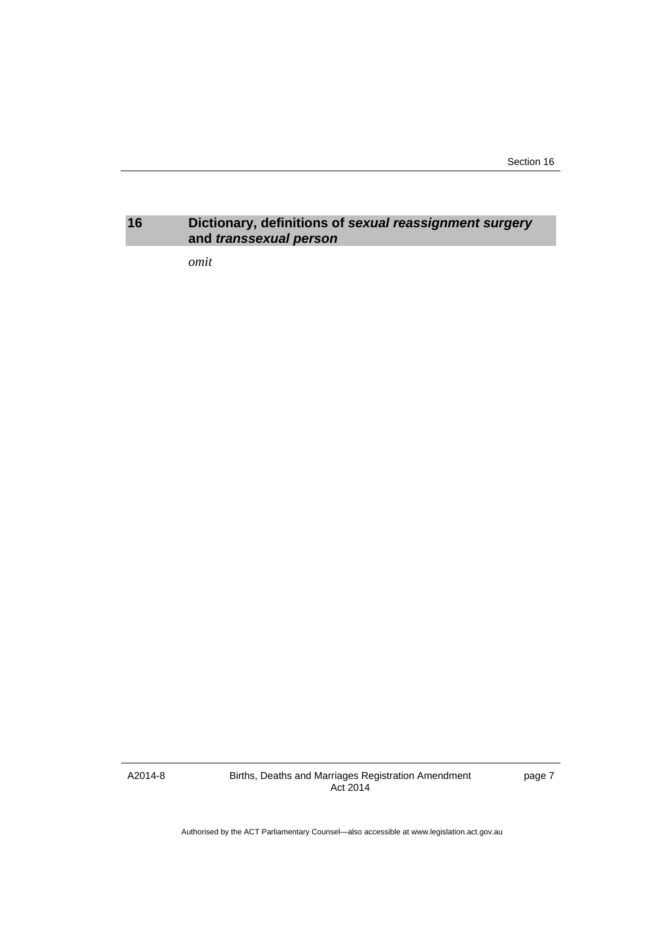Section 16

#### <span id="page-8-0"></span>**16 Dictionary, definitions of** *sexual reassignment surgery*  **and** *transsexual person*

*omit* 

A2014-8

Births, Deaths and Marriages Registration Amendment Act 2014

page 7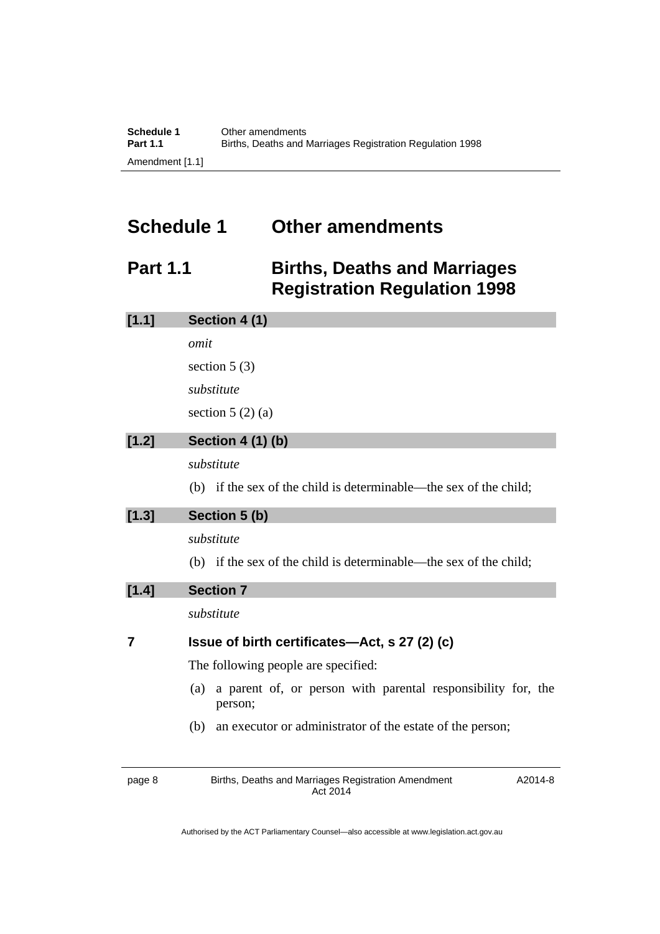### <span id="page-9-0"></span>**Schedule 1 Other amendments**

### <span id="page-9-1"></span>**Part 1.1 Births, Deaths and Marriages Registration Regulation 1998**

| [1.1] | Section 4 (1)                                                                  |
|-------|--------------------------------------------------------------------------------|
|       | omit                                                                           |
|       | section $5(3)$                                                                 |
|       | substitute                                                                     |
|       | section $5(2)(a)$                                                              |
| [1.2] | <b>Section 4 (1) (b)</b>                                                       |
|       | substitute                                                                     |
|       | (b) if the sex of the child is determinable—the sex of the child;              |
| [1.3] | Section 5 (b)                                                                  |
|       | substitute                                                                     |
|       | (b) if the sex of the child is determinable—the sex of the child;              |
| [1.4] | <b>Section 7</b>                                                               |
|       | substitute                                                                     |
| 7     | Issue of birth certificates—Act, s 27 (2) (c)                                  |
|       | The following people are specified:                                            |
|       | a parent of, or person with parental responsibility for, the<br>(a)<br>person; |
|       | an executor or administrator of the estate of the person;<br>(b)               |
|       |                                                                                |
|       |                                                                                |

page 8 Births, Deaths and Marriages Registration Amendment Act 2014

A2014-8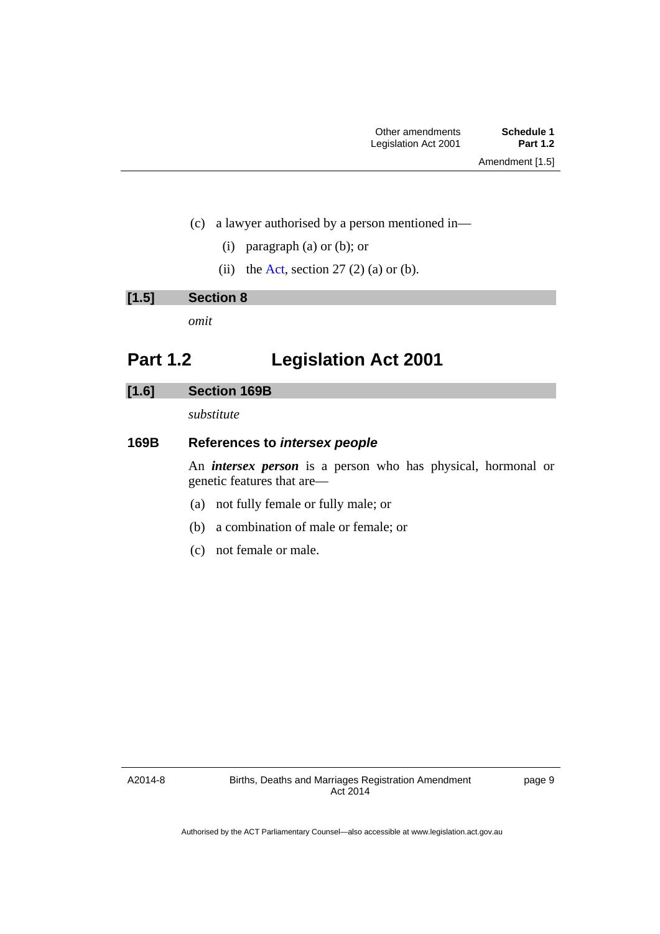- (c) a lawyer authorised by a person mentioned in—
	- (i) paragraph (a) or (b); or
	- (ii) the [Act,](http://www.legislation.act.gov.au/a/1997-112/default.asp) section  $27(2)$  (a) or (b).

| <b>Section 8</b> |
|------------------|
|------------------|

*omit* 

### <span id="page-10-0"></span>**Part 1.2 Legislation Act 2001**

#### **[1.6] Section 169B**

*substitute* 

#### **169B References to** *intersex people*

An *intersex person* is a person who has physical, hormonal or genetic features that are—

- (a) not fully female or fully male; or
- (b) a combination of male or female; or
- (c) not female or male.

A2014-8

page 9